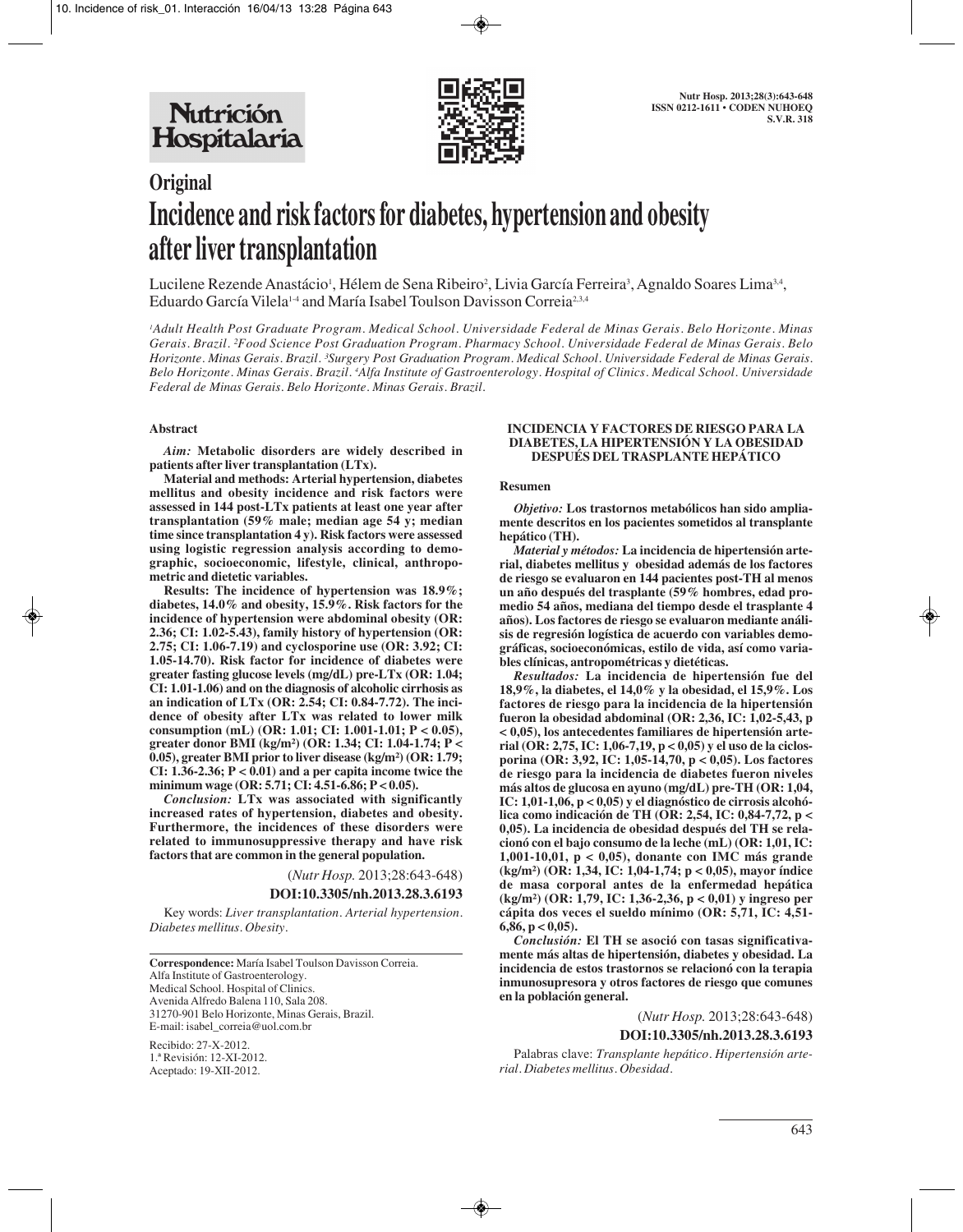

# **Original Incidence and risk factors for diabetes, hypertension and obesity after liver transplantation**

Lucilene Rezende Anastácio<sup>1</sup>, Hélem de Sena Ribeiro<sup>2</sup>, Livia García Ferreira<sup>3</sup>, Agnaldo Soares Lima<sup>3,4</sup>, Eduardo García Vilela<sup>14</sup> and María Isabel Toulson Davisson Correia<sup>2,3,4</sup>

*1 Adult Health Post Graduate Program. Medical School. Universidade Federal de Minas Gerais. Belo Horizonte. Minas Gerais. Brazil. ²Food Science Post Graduation Program. Pharmacy School. Universidade Federal de Minas Gerais. Belo Horizonte. Minas Gerais. Brazil. ³Surgery Post Graduation Program. Medical School. Universidade Federal de Minas Gerais. Belo Horizonte. Minas Gerais. Brazil. 4 Alfa Institute of Gastroenterology. Hospital of Clinics. Medical School. Universidade Federal de Minas Gerais. Belo Horizonte. Minas Gerais. Brazil.*

### **Abstract**

*Aim:* **Metabolic disorders are widely described in patients after liver transplantation (LTx).** 

**Material and methods: Arterial hypertension, diabetes mellitus and obesity incidence and risk factors were assessed in 144 post-LTx patients at least one year after transplantation (59% male; median age 54 y; median time since transplantation 4 y). Risk factors were assessed using logistic regression analysis according to demographic, socioeconomic, lifestyle, clinical, anthropometric and dietetic variables.** 

**Results: The incidence of hypertension was 18.9%; diabetes, 14.0% and obesity, 15.9%. Risk factors for the incidence of hypertension were abdominal obesity (OR: 2.36; CI: 1.02-5.43), family history of hypertension (OR: 2.75; CI: 1.06-7.19) and cyclosporine use (OR: 3.92; CI: 1.05-14.70). Risk factor for incidence of diabetes were greater fasting glucose levels (mg/dL) pre-LTx (OR: 1.04; CI: 1.01-1.06) and on the diagnosis of alcoholic cirrhosis as an indication of LTx (OR: 2.54; CI: 0.84-7.72). The incidence of obesity after LTx was related to lower milk consumption (mL) (OR: 1.01; CI: 1.001-1.01; P < 0.05), greater donor BMI (kg/m²) (OR: 1.34; CI: 1.04-1.74; P < 0.05), greater BMI prior to liver disease (kg/m²) (OR: 1.79; CI: 1.36-2.36; P < 0.01) and a per capita income twice the minimum wage (OR: 5.71; CI: 4.51-6.86; P < 0.05).**

*Conclusion:* **LTx was associated with significantly increased rates of hypertension, diabetes and obesity. Furthermore, the incidences of these disorders were related to immunosuppressive therapy and have risk factors that are common in the general population.**

(*Nutr Hosp.* 2013;28:643-648)

**DOI:10.3305/nh.2013.28.3.6193**

Key words: *Liver transplantation. Arterial hypertension. Diabetes mellitus. Obesity.*

**Correspondence:** María Isabel Toulson Davisson Correia. Alfa Institute of Gastroenterology. Medical School. Hospital of Clinics. Avenida Alfredo Balena 110, Sala 208. 31270-901 Belo Horizonte, Minas Gerais, Brazil. E-mail: isabel\_correia@uol.com.br

Recibido: 27-X-2012. 1.ª Revisión: 12-XI-2012. Aceptado: 19-XII-2012.

#### **INCIDENCIA Y FACTORES DE RIESGO PARA LA DIABETES, LA HIPERTENSIÓN Y LA OBESIDAD DESPUÉS DEL TRASPLANTE HEPÁTICO**

## **Resumen**

*Objetivo:* **Los trastornos metabólicos han sido ampliamente descritos en los pacientes sometidos al transplante hepático (TH).**

*Material y métodos:* **La incidencia de hipertensión arterial, diabetes mellitus y obesidad además de los factores de riesgo se evaluaron en 144 pacientes post-TH al menos un año después del trasplante (59% hombres, edad promedio 54 años, mediana del tiempo desde el trasplante 4 años). Los factores de riesgo se evaluaron mediante análisis de regresión logística de acuerdo con variables demográficas, socioeconómicas, estilo de vida, así como variables clínicas, antropométricas y dietéticas.**

*Resultados:* **La incidencia de hipertensión fue del 18,9%, la diabetes, el 14,0% y la obesidad, el 15,9%. Los factores de riesgo para la incidencia de la hipertensión fueron la obesidad abdominal (OR: 2,36, IC: 1,02-5,43, p < 0,05), los antecedentes familiares de hipertensión arterial (OR: 2,75, IC: 1,06-7,19, p < 0,05) y el uso de la ciclosporina (OR: 3,92, IC: 1,05-14,70, p < 0,05). Los factores de riesgo para la incidencia de diabetes fueron niveles más altos de glucosa en ayuno (mg/dL) pre-TH (OR: 1,04, IC: 1,01-1,06, p < 0,05) y el diagnóstico de cirrosis alcohólica como indicación de TH (OR: 2,54, IC: 0,84-7,72, p < 0,05). La incidencia de obesidad después del TH se relacionó con el bajo consumo de la leche (mL) (OR: 1,01, IC: 1,001-10,01, p < 0,05), donante con IMC más grande (kg/m²) (OR: 1,34, IC: 1,04-1,74; p < 0,05), mayor índice de masa corporal antes de la enfermedad hepática (kg/m²) (OR: 1,79, IC: 1,36-2,36, p < 0,01) y ingreso per cápita dos veces el sueldo mínimo (OR: 5,71, IC: 4,51- 6,86, p < 0,05).**

*Conclusión:* **El TH se asoció con tasas significativamente más altas de hipertensión, diabetes y obesidad. La incidencia de estos trastornos se relacionó con la terapia inmunosupresora y otros factores de riesgo que comunes en la población general.**

# (*Nutr Hosp.* 2013;28:643-648) **DOI:10.3305/nh.2013.28.3.6193**

Palabras clave: *Transplante hepático. Hipertensión arterial. Diabetes mellitus. Obesidad.*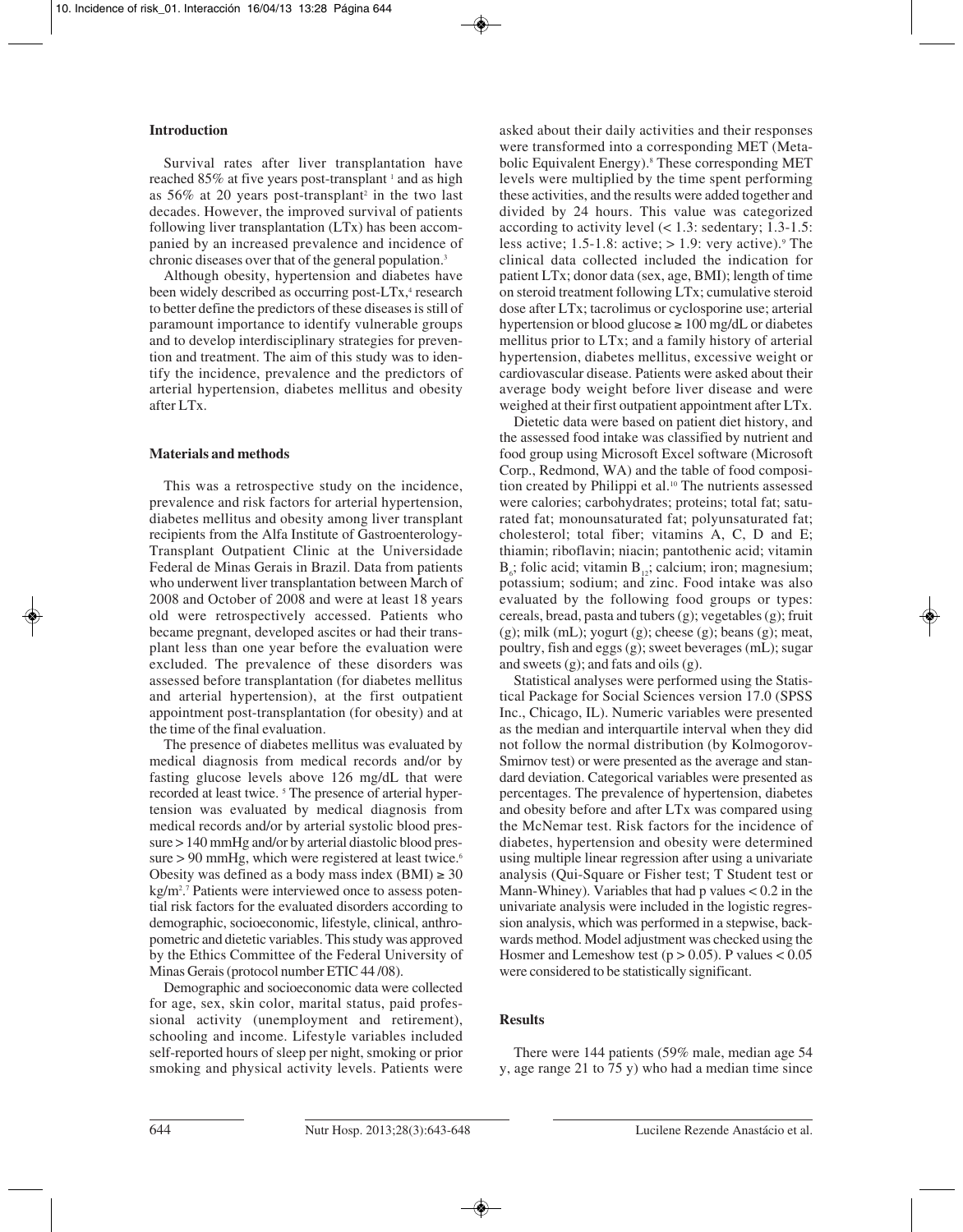## **Introduction**

Survival rates after liver transplantation have reached 85% at five years post-transplant <sup>1</sup> and as high as  $56\%$  at 20 years post-transplant<sup>2</sup> in the two last decades. However, the improved survival of patients following liver transplantation (LTx) has been accompanied by an increased prevalence and incidence of chronic diseases over that of the general population.<sup>3</sup>

Although obesity, hypertension and diabetes have been widely described as occurring post-LTx,<sup>4</sup> research to better define the predictors of these diseases is still of paramount importance to identify vulnerable groups and to develop interdisciplinary strategies for prevention and treatment. The aim of this study was to identify the incidence, prevalence and the predictors of arterial hypertension, diabetes mellitus and obesity after LTx.

# **Materials and methods**

This was a retrospective study on the incidence, prevalence and risk factors for arterial hypertension, diabetes mellitus and obesity among liver transplant recipients from the Alfa Institute of Gastroenterology-Transplant Outpatient Clinic at the Universidade Federal de Minas Gerais in Brazil. Data from patients who underwent liver transplantation between March of 2008 and October of 2008 and were at least 18 years old were retrospectively accessed. Patients who became pregnant, developed ascites or had their transplant less than one year before the evaluation were excluded. The prevalence of these disorders was assessed before transplantation (for diabetes mellitus and arterial hypertension), at the first outpatient appointment post-transplantation (for obesity) and at the time of the final evaluation.

The presence of diabetes mellitus was evaluated by medical diagnosis from medical records and/or by fasting glucose levels above 126 mg/dL that were recorded at least twice.<sup>5</sup> The presence of arterial hypertension was evaluated by medical diagnosis from medical records and/or by arterial systolic blood pressure > 140 mmHg and/or by arterial diastolic blood pressure  $> 90$  mmHg, which were registered at least twice.<sup>6</sup> Obesity was defined as a body mass index (BMI)  $\geq 30$ kg/m2 . <sup>7</sup> Patients were interviewed once to assess potential risk factors for the evaluated disorders according to demographic, socioeconomic, lifestyle, clinical, anthropometric and dietetic variables. This study was approved by the Ethics Committee of the Federal University of Minas Gerais (protocol number ETIC 44 /08).

Demographic and socioeconomic data were collected for age, sex, skin color, marital status, paid professional activity (unemployment and retirement), schooling and income. Lifestyle variables included self-reported hours of sleep per night, smoking or prior smoking and physical activity levels. Patients were asked about their daily activities and their responses were transformed into a corresponding MET (Metabolic Equivalent Energy).<sup>8</sup> These corresponding MET levels were multiplied by the time spent performing these activities, and the results were added together and divided by 24 hours. This value was categorized according to activity level  $($  < 1.3: sedentary; 1.3-1.5: less active;  $1.5-1.8$ : active;  $> 1.9$ : very active).<sup>9</sup> The clinical data collected included the indication for patient LTx; donor data (sex, age, BMI); length of time on steroid treatment following LTx; cumulative steroid dose after LTx; tacrolimus or cyclosporine use; arterial hypertension or blood glucose  $\geq 100$  mg/dL or diabetes mellitus prior to LTx; and a family history of arterial hypertension, diabetes mellitus, excessive weight or cardiovascular disease. Patients were asked about their average body weight before liver disease and were weighed at their first outpatient appointment after LTx.

Dietetic data were based on patient diet history, and the assessed food intake was classified by nutrient and food group using Microsoft Excel software (Microsoft Corp., Redmond, WA) and the table of food composition created by Philippi et al.<sup>10</sup> The nutrients assessed were calories; carbohydrates; proteins; total fat; saturated fat; monounsaturated fat; polyunsaturated fat; cholesterol; total fiber; vitamins A, C, D and E; thiamin; riboflavin; niacin; pantothenic acid; vitamin  $B_6$ ; folic acid; vitamin  $B_{12}$ ; calcium; iron; magnesium; potassium; sodium; and zinc. Food intake was also evaluated by the following food groups or types: cereals, bread, pasta and tubers  $(g)$ ; vegetables  $(g)$ ; fruit  $(g)$ ; milk  $(mL)$ ; yogurt  $(g)$ ; cheese  $(g)$ ; beans  $(g)$ ; meat, poultry, fish and eggs (g); sweet beverages (mL); sugar and sweets  $(g)$ ; and fats and oils  $(g)$ .

Statistical analyses were performed using the Statistical Package for Social Sciences version 17.0 (SPSS Inc., Chicago, IL). Numeric variables were presented as the median and interquartile interval when they did not follow the normal distribution (by Kolmogorov-Smirnov test) or were presented as the average and standard deviation. Categorical variables were presented as percentages. The prevalence of hypertension, diabetes and obesity before and after LTx was compared using the McNemar test. Risk factors for the incidence of diabetes, hypertension and obesity were determined using multiple linear regression after using a univariate analysis (Qui-Square or Fisher test; T Student test or Mann-Whiney). Variables that had p values  $< 0.2$  in the univariate analysis were included in the logistic regression analysis, which was performed in a stepwise, backwards method. Model adjustment was checked using the Hosmer and Lemeshow test ( $p > 0.05$ ). P values < 0.05 were considered to be statistically significant.

# **Results**

There were 144 patients (59% male, median age 54 y, age range 21 to 75 y) who had a median time since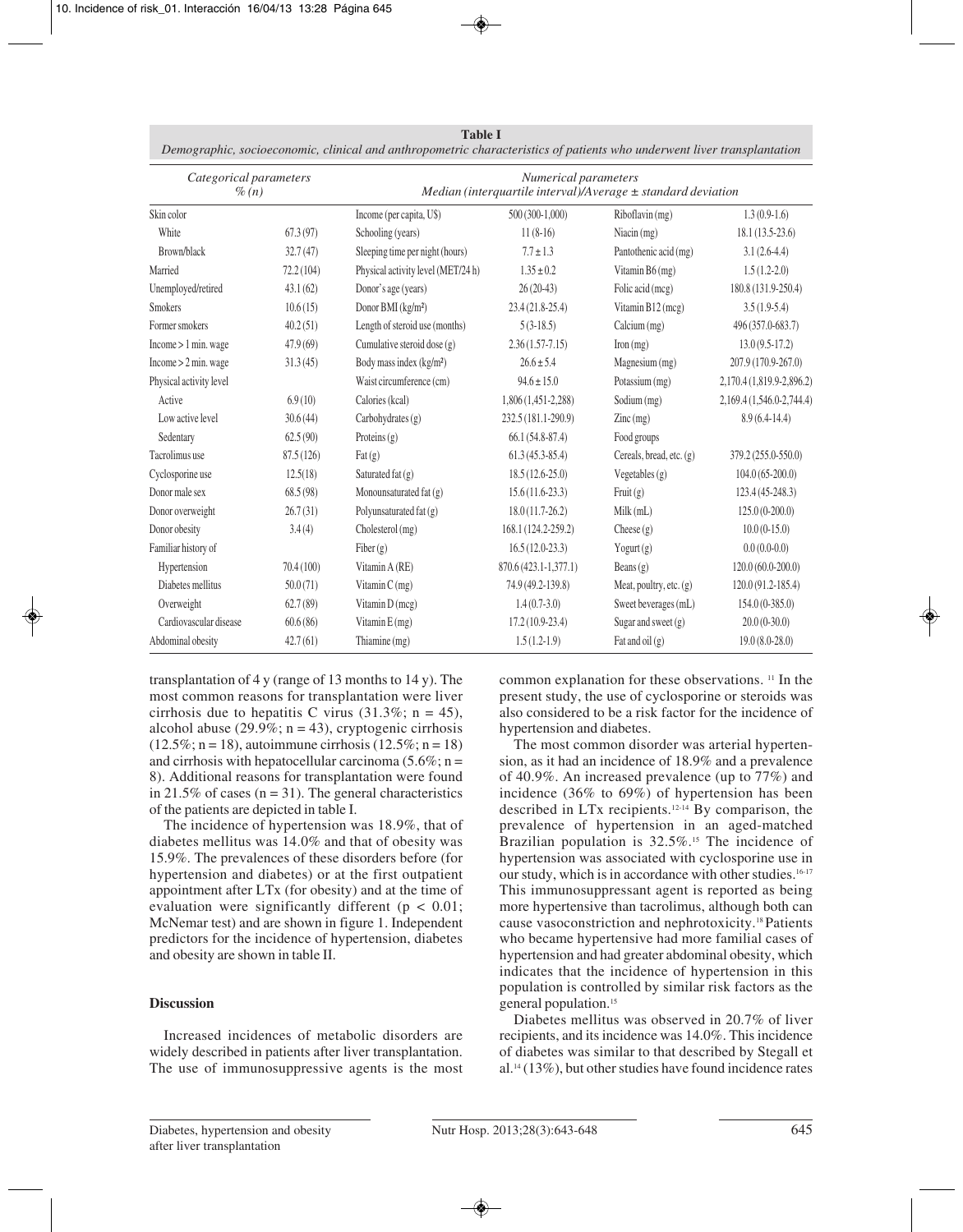|                                      |           | Demographic, socioeconomic, clinical and anthropometric characteristics of patients who underwent liver transplantation |                       |                                        |                           |  |
|--------------------------------------|-----------|-------------------------------------------------------------------------------------------------------------------------|-----------------------|----------------------------------------|---------------------------|--|
| Categorical parameters<br>$\%$ $(n)$ |           | Numerical parameters<br>Median (interquartile interval)/Average $\pm$ standard deviation                                |                       |                                        |                           |  |
| Skin color                           |           | Income (per capita, U\$)                                                                                                | $500(300-1,000)$      | Riboflavin (mg)                        | $1.3(0.9-1.6)$            |  |
| White                                | 67.3(97)  | Schooling (years)                                                                                                       | $11(8-16)$            | Niacin (mg)                            | $18.1(13.5-23.6)$         |  |
| Brown/black                          | 32.7(47)  | Sleeping time per night (hours)                                                                                         | $7.7 \pm 1.3$         | Pantothenic acid (mg)                  | $3.1(2.6-4.4)$            |  |
| Married                              | 72.2(104) | Physical activity level (MET/24 h)                                                                                      | $1.35 \pm 0.2$        | Vitamin B6 (mg)                        | $1.5(1.2-2.0)$            |  |
| Unemployed/retired                   | 43.1(62)  | Donor's age (years)                                                                                                     | $26(20-43)$           | Folic acid (mcg)                       | 180.8 (131.9-250.4)       |  |
| <b>Smokers</b>                       | 10.6(15)  | Donor BMI (kg/m <sup>2</sup> )                                                                                          | $23.4(21.8-25.4)$     | Vitamin B12 (mcg)                      | $3.5(1.9-5.4)$            |  |
| Former smokers                       | 40.2(51)  | Length of steroid use (months)                                                                                          | $5(3-18.5)$           | Calcium(mg)                            | 496 (357.0-683.7)         |  |
| Income > 1 min. wage                 | 47.9(69)  | Cumulative steroid dose $(g)$                                                                                           | $2.36(1.57-7.15)$     | $\text{Iron}(\text{mg})$               | $13.0(9.5-17.2)$          |  |
| Income > 2 min. wage                 | 31.3(45)  | Body mass index (kg/m <sup>2</sup> )                                                                                    | $26.6 \pm 5.4$        | Magnesium (mg)                         | 207.9 (170.9-267.0)       |  |
| Physical activity level              |           | Waist circumference (cm)                                                                                                | $94.6 \pm 15.0$       | Potassium (mg)                         | 2,170.4 (1,819.9-2,896.2) |  |
| Active                               | 6.9(10)   | Calories (kcal)                                                                                                         | 1,806 (1,451-2,288)   | Sodium (mg)                            | 2,169.4 (1,546.0-2,744.4) |  |
| Low active level                     | 30.6(44)  | Carbohydrates $(g)$                                                                                                     | 232.5 (181.1-290.9)   | $\text{Zinc} \left( \text{mg} \right)$ | $8.9(6.4-14.4)$           |  |
| Sedentary                            | 62.5(90)  | Proteins $(g)$                                                                                                          | $66.1(54.8-87.4)$     | Food groups                            |                           |  |
| Tacrolimus use                       | 87.5(126) | $\text{Fat}\left(\text{g}\right)$                                                                                       | $61.3(45.3-85.4)$     | Cereals, bread, etc. (g)               | 379.2 (255.0-550.0)       |  |
| Cyclosporine use                     | 12.5(18)  | Saturated fat (g)                                                                                                       | $18.5(12.6-25.0)$     | Vegetables $(g)$                       | $104.0(65-200.0)$         |  |
| Donor male sex                       | 68.5(98)  | Monounsaturated fat (g)                                                                                                 | $15.6(11.6-23.3)$     | Fruit(g)                               | 123.4 (45-248.3)          |  |
| Donor overweight                     | 26.7(31)  | Polyunsaturated fat (g)                                                                                                 | $18.0(11.7-26.2)$     | Milk(mL)                               | $125.0(0-200.0)$          |  |
| Donor obesity                        | 3.4(4)    | Cholesterol (mg)                                                                                                        | 168.1 (124.2-259.2)   | Cheese $(g)$                           | $10.0(0-15.0)$            |  |
| Familiar history of                  |           | Fiber $(g)$                                                                                                             | $16.5(12.0-23.3)$     | $Y$ ogurt $(g)$                        | $0.0(0.0-0.0)$            |  |
| Hypertension                         | 70.4(100) | Vitamin A (RE)                                                                                                          | 870.6 (423.1-1,377.1) | Beans $(g)$                            | $120.0(60.0-200.0)$       |  |
| Diabetes mellitus                    | 50.0(71)  | Vitamin $C$ (mg)                                                                                                        | 74.9 (49.2-139.8)     | Meat, poultry, etc. $(g)$              | $120.0(91.2-185.4)$       |  |
| Overweight                           | 62.7(89)  | Vitamin D (mcg)                                                                                                         | $1.4(0.7-3.0)$        | Sweet beverages (mL)                   | $154.0(0-385.0)$          |  |
| Cardiovascular disease               | 60.6(86)  | Vitamin E (mg)                                                                                                          | $17.2(10.9-23.4)$     | Sugar and sweet $(g)$                  | $20.0(0-30.0)$            |  |
| Abdominal obesity                    | 42.7(61)  | Thiamine (mg)                                                                                                           | $1.5(1.2-1.9)$        | Fat and oil $(g)$                      | $19.0(8.0-28.0)$          |  |

**Table I**

transplantation of  $4 \text{ y}$  (range of 13 months to  $14 \text{ y}$ ). The most common reasons for transplantation were liver cirrhosis due to hepatitis C virus  $(31.3\%; n = 45)$ , alcohol abuse (29.9%;  $n = 43$ ), cryptogenic cirrhosis  $(12.5\%; n = 18)$ , autoimmune cirrhosis  $(12.5\%; n = 18)$ and cirrhosis with hepatocellular carcinoma  $(5.6\%; n =$ 8). Additional reasons for transplantation were found in 21.5% of cases ( $n = 31$ ). The general characteristics of the patients are depicted in table I.

The incidence of hypertension was 18.9%, that of diabetes mellitus was 14.0% and that of obesity was 15.9%. The prevalences of these disorders before (for hypertension and diabetes) or at the first outpatient appointment after LTx (for obesity) and at the time of evaluation were significantly different ( $p < 0.01$ ; McNemar test) and are shown in figure 1. Independent predictors for the incidence of hypertension, diabetes and obesity are shown in table II.

# **Discussion**

Increased incidences of metabolic disorders are widely described in patients after liver transplantation. The use of immunosuppressive agents is the most common explanation for these observations. 11 In the present study, the use of cyclosporine or steroids was also considered to be a risk factor for the incidence of hypertension and diabetes.

The most common disorder was arterial hypertension, as it had an incidence of 18.9% and a prevalence of 40.9%. An increased prevalence (up to 77%) and incidence (36% to 69%) of hypertension has been described in LTx recipients.12-14 By comparison, the prevalence of hypertension in an aged-matched Brazilian population is 32.5%.<sup>15</sup> The incidence of hypertension was associated with cyclosporine use in our study, which is in accordance with other studies.16-17 This immunosuppressant agent is reported as being more hypertensive than tacrolimus, although both can cause vasoconstriction and nephrotoxicity.18 Patients who became hypertensive had more familial cases of hypertension and had greater abdominal obesity, which indicates that the incidence of hypertension in this population is controlled by similar risk factors as the general population.<sup>15</sup>

Diabetes mellitus was observed in 20.7% of liver recipients, and its incidence was 14.0%. This incidence of diabetes was similar to that described by Stegall et  $al.14$  (13%), but other studies have found incidence rates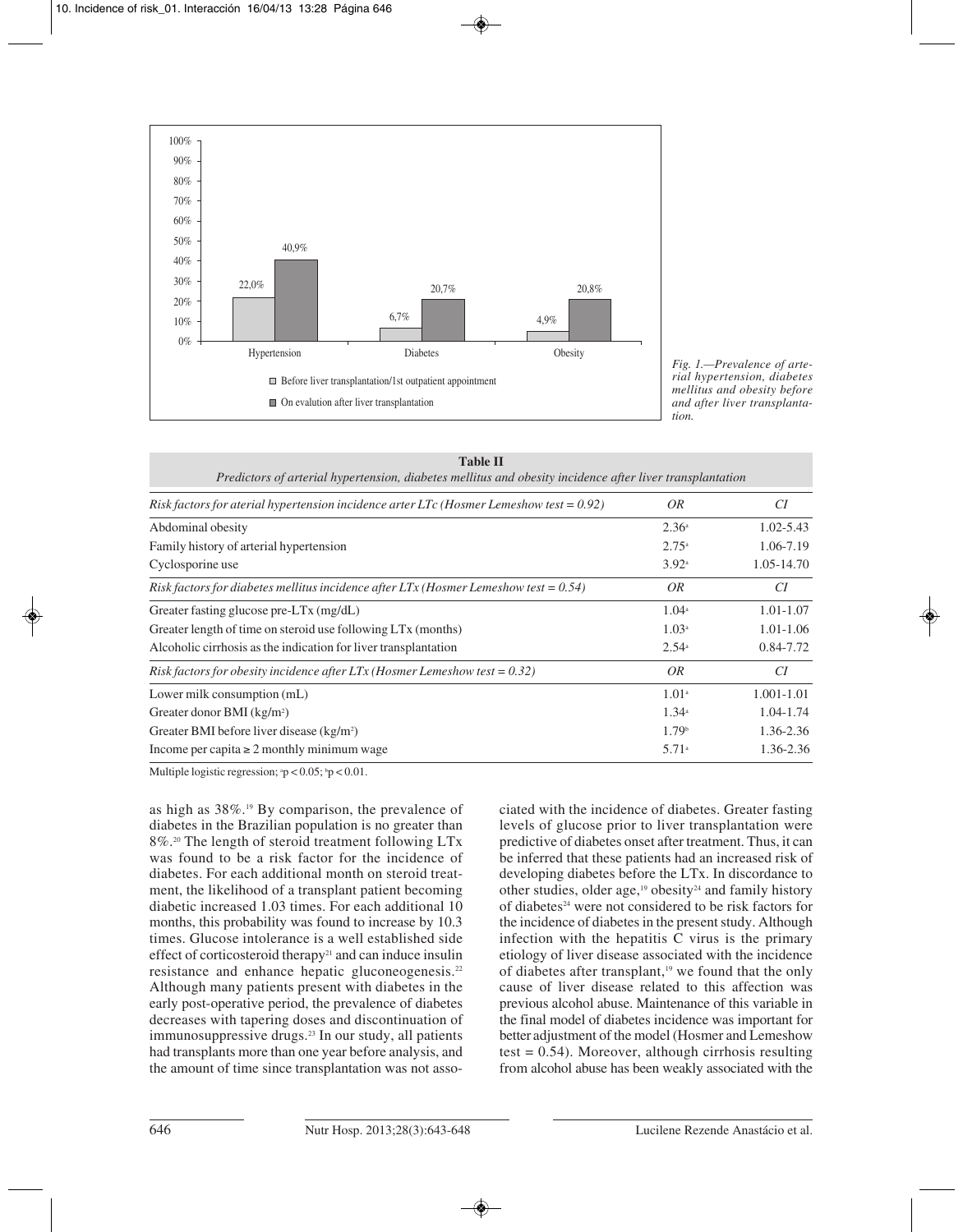

*Fig. 1.—Prevalence of arterial hypertension, diabetes mellitus and obesity before and after liver transplantation.*

| <b>Table II</b> |                                                                                                          |
|-----------------|----------------------------------------------------------------------------------------------------------|
|                 | Predictors of arterial hypertension, diabetes mellitus and obesity incidence after liver transplantation |

| Risk factors for aterial hypertension incidence arter LTc (Hosmer Lemeshow test = $0.92$ ) | OR                | CI             |
|--------------------------------------------------------------------------------------------|-------------------|----------------|
| Abdominal obesity                                                                          | 2.36 <sup>a</sup> | $1.02 - 5.43$  |
| Family history of arterial hypertension                                                    | 2.75a             | 1.06-7.19      |
| Cyclosporine use                                                                           | $3.92^{\circ}$    | 1.05-14.70     |
| Risk factors for diabetes mellitus incidence after LTx (Hosmer Lemeshow test = $0.54$ )    | 0R                | CI             |
| Greater fasting glucose pre-LTx (mg/dL)                                                    | 1.04 <sup>a</sup> | $1.01 - 1.07$  |
| Greater length of time on steroid use following LT <sub>x</sub> (months)                   | 1.03 <sup>a</sup> | $1.01 - 1.06$  |
| Alcoholic cirrhosis as the indication for liver transplantation                            | $2.54^{\circ}$    | 0.84-7.72      |
| Risk factors for obesity incidence after $LTx$ (Hosmer Lemeshow test = 0.32)               | <i>OR</i>         | CI             |
| Lower milk consumption (mL)                                                                | 1.01 <sup>a</sup> | $1.001 - 1.01$ |
| Greater donor BMI $(kg/m2)$                                                                | 1.34 <sup>a</sup> | $1.04 - 1.74$  |
| Greater BMI before liver disease (kg/m <sup>2</sup> )                                      | 1.79 <sup>b</sup> | 1.36-2.36      |
| Income per capita $\geq 2$ monthly minimum wage                                            | 5.71a             | 1.36-2.36      |

Multiple logistic regression;  $p < 0.05$ ;  $p < 0.01$ .

as high as 38%.19 By comparison, the prevalence of diabetes in the Brazilian population is no greater than 8%.20 The length of steroid treatment following LTx was found to be a risk factor for the incidence of diabetes. For each additional month on steroid treatment, the likelihood of a transplant patient becoming diabetic increased 1.03 times. For each additional 10 months, this probability was found to increase by 10.3 times. Glucose intolerance is a well established side effect of corticosteroid therapy<sup>21</sup> and can induce insulin resistance and enhance hepatic gluconeogenesis.22 Although many patients present with diabetes in the early post-operative period, the prevalence of diabetes decreases with tapering doses and discontinuation of immunosuppressive drugs.<sup>23</sup> In our study, all patients had transplants more than one year before analysis, and the amount of time since transplantation was not associated with the incidence of diabetes. Greater fasting levels of glucose prior to liver transplantation were predictive of diabetes onset after treatment. Thus, it can be inferred that these patients had an increased risk of developing diabetes before the LTx. In discordance to other studies, older age,<sup>19</sup> obesity<sup>24</sup> and family history of diabetes<sup>24</sup> were not considered to be risk factors for the incidence of diabetes in the present study. Although infection with the hepatitis C virus is the primary etiology of liver disease associated with the incidence of diabetes after transplant,<sup>19</sup> we found that the only cause of liver disease related to this affection was previous alcohol abuse. Maintenance of this variable in the final model of diabetes incidence was important for better adjustment of the model (Hosmer and Lemeshow test  $= 0.54$ ). Moreover, although cirrhosis resulting from alcohol abuse has been weakly associated with the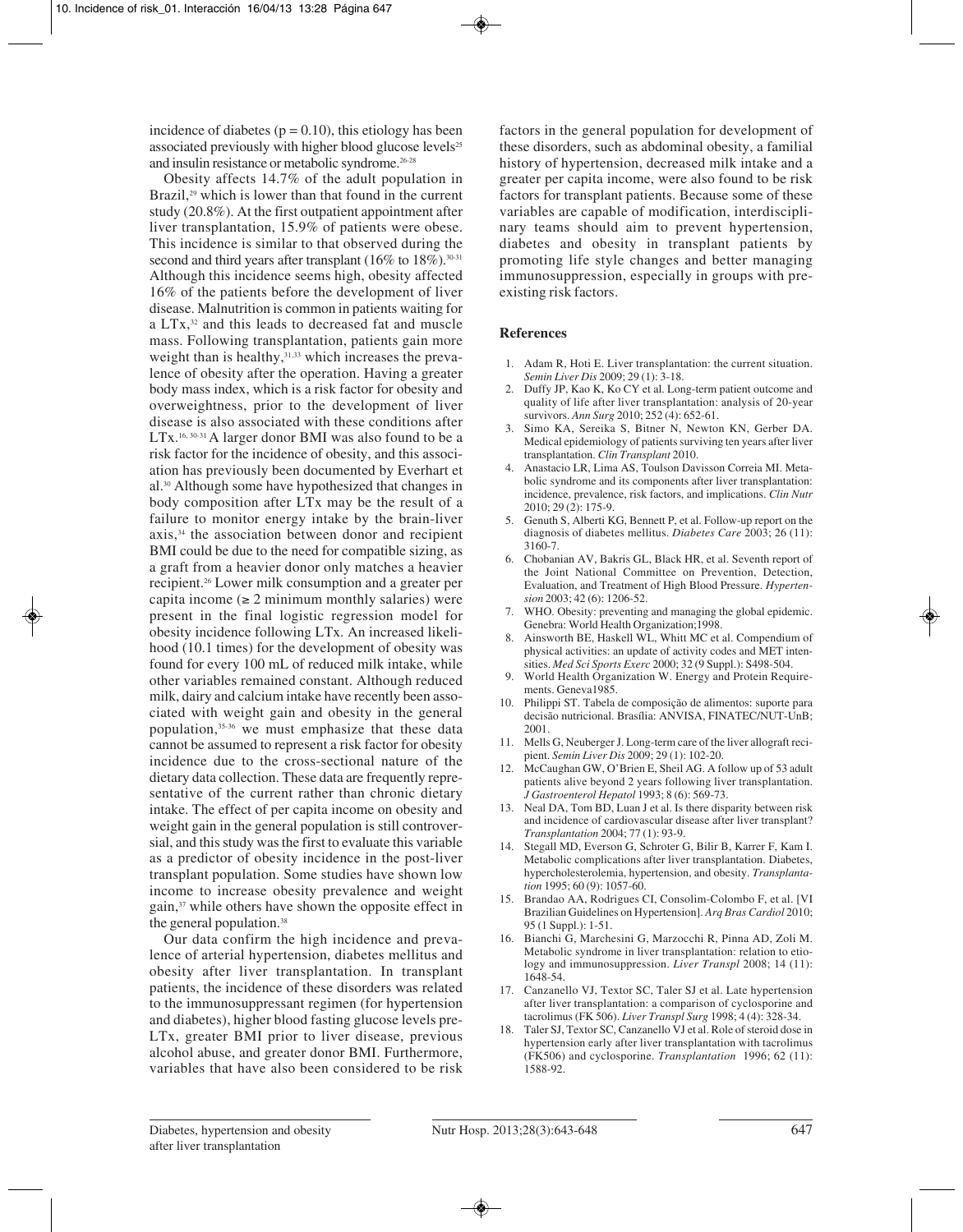incidence of diabetes ( $p = 0.10$ ), this etiology has been associated previously with higher blood glucose levels<sup>25</sup> and insulin resistance or metabolic syndrome.<sup>26-28</sup>

Obesity affects 14.7% of the adult population in Brazil,<sup>29</sup> which is lower than that found in the current study (20.8%). At the first outpatient appointment after liver transplantation, 15.9% of patients were obese. This incidence is similar to that observed during the second and third years after transplant  $(16\%$  to  $18\%)$ .<sup>30-31</sup> Although this incidence seems high, obesity affected 16% of the patients before the development of liver disease. Malnutrition is common in patients waiting for a LTx,32 and this leads to decreased fat and muscle mass. Following transplantation, patients gain more weight than is healthy,<sup>31,33</sup> which increases the prevalence of obesity after the operation. Having a greater body mass index, which is a risk factor for obesity and overweightness, prior to the development of liver disease is also associated with these conditions after LTx.<sup>16, 30-31</sup> A larger donor BMI was also found to be a risk factor for the incidence of obesity, and this association has previously been documented by Everhart et al.30 Although some have hypothesized that changes in body composition after LTx may be the result of a failure to monitor energy intake by the brain-liver axis,34 the association between donor and recipient BMI could be due to the need for compatible sizing, as a graft from a heavier donor only matches a heavier recipient.26 Lower milk consumption and a greater per capita income  $(\geq 2$  minimum monthly salaries) were present in the final logistic regression model for obesity incidence following LTx. An increased likelihood (10.1 times) for the development of obesity was found for every 100 mL of reduced milk intake, while other variables remained constant. Although reduced milk, dairy and calcium intake have recently been associated with weight gain and obesity in the general population,35-36 we must emphasize that these data cannot be assumed to represent a risk factor for obesity incidence due to the cross-sectional nature of the dietary data collection. These data are frequently representative of the current rather than chronic dietary intake. The effect of per capita income on obesity and weight gain in the general population is still controversial, and this study was the first to evaluate this variable as a predictor of obesity incidence in the post-liver transplant population. Some studies have shown low income to increase obesity prevalence and weight gain,37 while others have shown the opposite effect in the general population.<sup>38</sup>

Our data confirm the high incidence and prevalence of arterial hypertension, diabetes mellitus and obesity after liver transplantation. In transplant patients, the incidence of these disorders was related to the immunosuppressant regimen (for hypertension and diabetes), higher blood fasting glucose levels pre-LTx, greater BMI prior to liver disease, previous alcohol abuse, and greater donor BMI. Furthermore, variables that have also been considered to be risk

factors in the general population for development of these disorders, such as abdominal obesity, a familial history of hypertension, decreased milk intake and a greater per capita income, were also found to be risk factors for transplant patients. Because some of these variables are capable of modification, interdisciplinary teams should aim to prevent hypertension, diabetes and obesity in transplant patients by promoting life style changes and better managing immunosuppression, especially in groups with preexisting risk factors.

# **References**

- 1. Adam R, Hoti E. Liver transplantation: the current situation. *Semin Liver Dis* 2009; 29 (1): 3-18.
- 2. Duffy JP, Kao K, Ko CY et al. Long-term patient outcome and quality of life after liver transplantation: analysis of 20-year survivors. *Ann Surg* 2010; 252 (4): 652-61.
- 3. Simo KA, Sereika S, Bitner N, Newton KN, Gerber DA. Medical epidemiology of patients surviving ten years after liver transplantation. *Clin Transplant* 2010.
- 4. Anastacio LR, Lima AS, Toulson Davisson Correia MI. Metabolic syndrome and its components after liver transplantation: incidence, prevalence, risk factors, and implications. *Clin Nutr* 2010; 29 (2): 175-9.
- 5. Genuth S, Alberti KG, Bennett P, et al. Follow-up report on the diagnosis of diabetes mellitus. *Diabetes Care* 2003; 26 (11): 3160-7.
- 6. Chobanian AV, Bakris GL, Black HR, et al. Seventh report of the Joint National Committee on Prevention, Detection, Evaluation, and Treatment of High Blood Pressure. *Hypertension* 2003; 42 (6): 1206-52.
- 7. WHO. Obesity: preventing and managing the global epidemic. Genebra: World Health Organization;1998.
- 8. Ainsworth BE, Haskell WL, Whitt MC et al. Compendium of physical activities: an update of activity codes and MET intensities. *Med Sci Sports Exerc* 2000; 32 (9 Suppl.): S498-504.
- World Health Organization W. Energy and Protein Requirements. Geneva1985.
- 10. Philippi ST. Tabela de composição de alimentos: suporte para decisão nutricional. Brasília: ANVISA, FINATEC/NUT-UnB; 2001.
- 11. Mells G, Neuberger J. Long-term care of the liver allograft recipient. *Semin Liver Dis* 2009; 29 (1): 102-20.
- 12. McCaughan GW, O'Brien E, Sheil AG. A follow up of 53 adult patients alive beyond 2 years following liver transplantation. *J Gastroenterol Hepatol* 1993; 8 (6): 569-73.
- 13. Neal DA, Tom BD, Luan J et al. Is there disparity between risk and incidence of cardiovascular disease after liver transplant? *Transplantation* 2004; 77 (1): 93-9.
- 14. Stegall MD, Everson G, Schroter G, Bilir B, Karrer F, Kam I. Metabolic complications after liver transplantation. Diabetes, hypercholesterolemia, hypertension, and obesity. *Transplantation* 1995; 60 (9): 1057-60.
- 15. Brandao AA, Rodrigues CI, Consolim-Colombo F, et al. [VI Brazilian Guidelines on Hypertension]. *Arq Bras Cardiol* 2010; 95 (1 Suppl.): 1-51.
- 16. Bianchi G, Marchesini G, Marzocchi R, Pinna AD, Zoli M. Metabolic syndrome in liver transplantation: relation to etiology and immunosuppression. *Liver Transpl* 2008; 14 (11): 1648-54.
- 17. Canzanello VJ, Textor SC, Taler SJ et al. Late hypertension after liver transplantation: a comparison of cyclosporine and tacrolimus (FK 506). *Liver Transpl Surg* 1998; 4 (4): 328-34.
- 18. Taler SJ, Textor SC, Canzanello VJ et al. Role of steroid dose in hypertension early after liver transplantation with tacrolimus (FK506) and cyclosporine. *Transplantation* 1996; 62 (11): 1588-92.